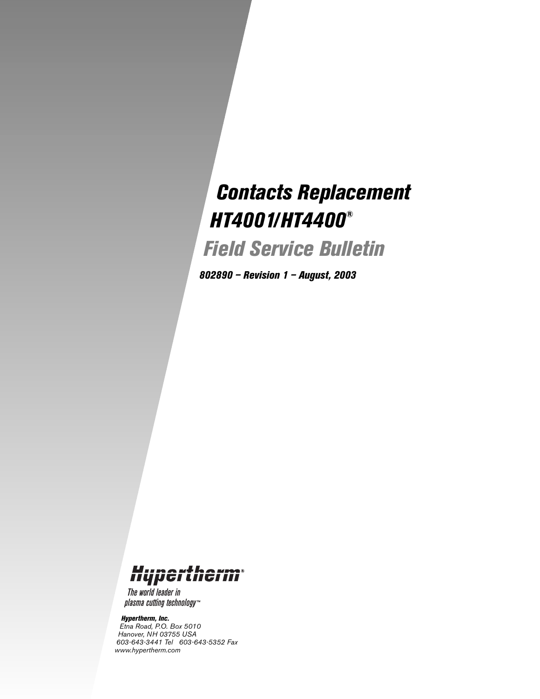# *Contacts Replacement HT4001/HT4400®*

*Field Service Bulletin*

*802890 – Revision 1 – August, 2003*

## Hypertherm

The world leader in plasma cutting technology<sup>\*\*</sup>

#### *Hypertherm, Inc.*

*Etna Road, P.O. Box 5010 Hanover, NH 03755 USA 603-643-3441 Tel 603-643-5352 Fax www.hypertherm.com*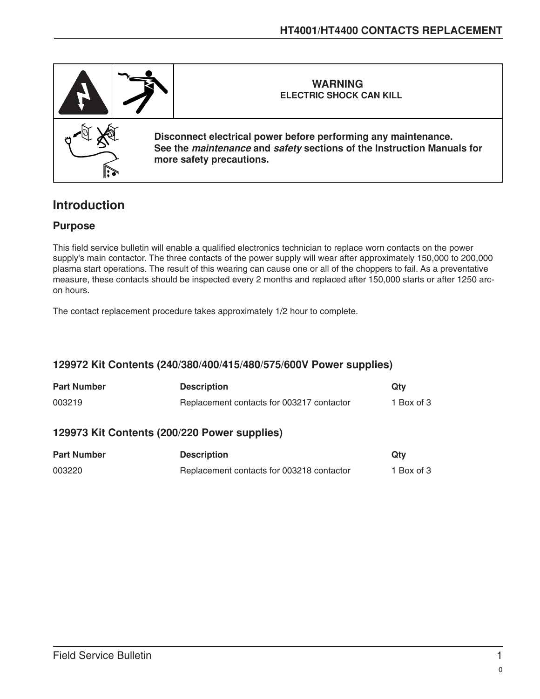

## **Introduction**

#### **Purpose**

This field service bulletin will enable a qualified electronics technician to replace worn contacts on the power supply's main contactor. The three contacts of the power supply will wear after approximately 150,000 to 200,000 plasma start operations. The result of this wearing can cause one or all of the choppers to fail. As a preventative measure, these contacts should be inspected every 2 months and replaced after 150,000 starts or after 1250 arcon hours.

The contact replacement procedure takes approximately 1/2 hour to complete.

### **129972 Kit Contents (240/380/400/415/480/575/600V Power supplies)**

| <b>Part Number</b>                                        | <b>Description</b>                        | Qtv        |  |
|-----------------------------------------------------------|-------------------------------------------|------------|--|
| 003219                                                    | Replacement contacts for 003217 contactor | 1 Box of 3 |  |
| $100070$ $1/2$ $0.444$ $1/2$ $(000/000)$ $0.400$ $(0.40)$ |                                           |            |  |

#### **129973 Kit Contents (200/220 Power supplies)**

| <b>Part Number</b> | <b>Description</b>                        | Qtv        |
|--------------------|-------------------------------------------|------------|
| 003220             | Replacement contacts for 003218 contactor | 1 Box of 3 |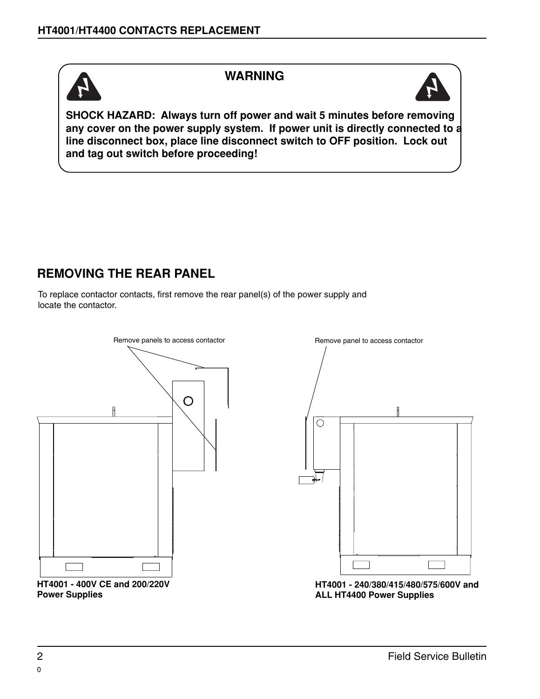

### **WARNING**



**SHOCK HAZARD: Always turn off power and wait 5 minutes before removing any cover on the power supply system. If power unit is directly connected to a line disconnect box, place line disconnect switch to OFF position. Lock out and tag out switch before proceeding!** 

## **REMOVING THE REAR PANEL**

To replace contactor contacts, first remove the rear panel(s) of the power supply and locate the contactor.







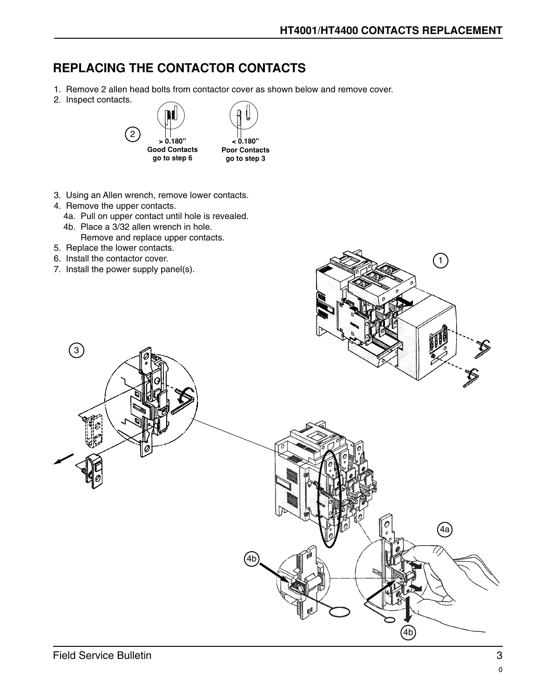1

## **REPLACING THE CONTACTOR CONTACTS**

- 1. Remove 2 allen head bolts from contactor cover as shown below and remove cover.
- 2. Inspect contacts.



- 3. Using an Allen wrench, remove lower contacts.
- 4. Remove the upper contacts.
	- 4a. Pull on upper contact until hole is revealed. 4b. Place a 3/32 allen wrench in hole.
	- Remove and replace upper contacts.
- 5. Replace the lower contacts.
- 6. Install the contactor cover.
- 7. Install the power supply panel(s).